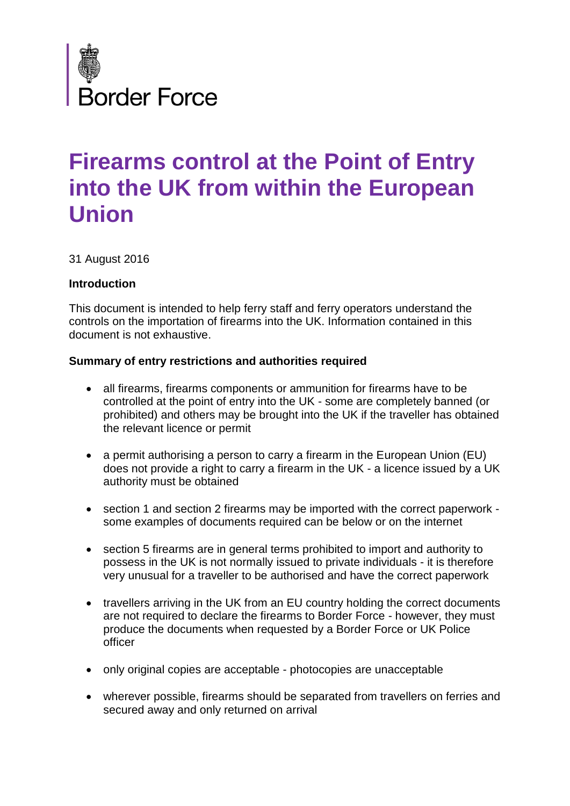

# **Firearms control at the Point of Entry into the UK from within the European Union**

31 August 2016

#### **Introduction**

This document is intended to help ferry staff and ferry operators understand the controls on the importation of firearms into the UK. Information contained in this document is not exhaustive.

#### **Summary of entry restrictions and authorities required**

- all firearms, firearms components or ammunition for firearms have to be controlled at the point of entry into the UK - some are completely banned (or prohibited) and others may be brought into the UK if the traveller has obtained the relevant licence or permit
- a permit authorising a person to carry a firearm in the European Union (EU) does not provide a right to carry a firearm in the UK - a licence issued by a UK authority must be obtained
- section 1 and section 2 firearms may be imported with the correct paperwork some examples of documents required can be below or on the internet
- section 5 firearms are in general terms prohibited to import and authority to possess in the UK is not normally issued to private individuals - it is therefore very unusual for a traveller to be authorised and have the correct paperwork
- travellers arriving in the UK from an EU country holding the correct documents are not required to declare the firearms to Border Force - however, they must produce the documents when requested by a Border Force or UK Police officer
- only original copies are acceptable photocopies are unacceptable
- wherever possible, firearms should be separated from travellers on ferries and secured away and only returned on arrival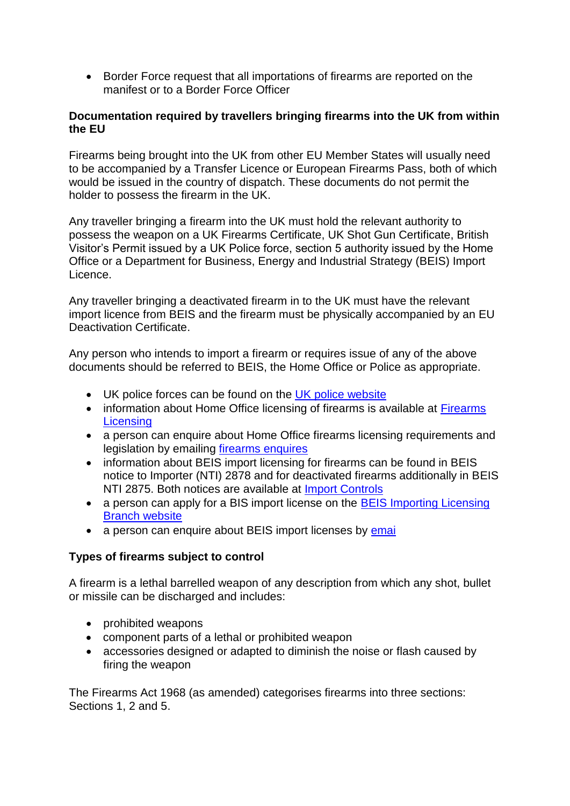Border Force request that all importations of firearms are reported on the manifest or to a Border Force Officer

#### **Documentation required by travellers bringing firearms into the UK from within the EU**

Firearms being brought into the UK from other EU Member States will usually need to be accompanied by a Transfer Licence or European Firearms Pass, both of which would be issued in the country of dispatch. These documents do not permit the holder to possess the firearm in the UK.

Any traveller bringing a firearm into the UK must hold the relevant authority to possess the weapon on a UK Firearms Certificate, UK Shot Gun Certificate, British Visitor's Permit issued by a UK Police force, section 5 authority issued by the Home Office or a Department for Business, Energy and Industrial Strategy (BEIS) Import Licence.

Any traveller bringing a deactivated firearm in to the UK must have the relevant import licence from BEIS and the firearm must be physically accompanied by an EU Deactivation Certificate.

Any person who intends to import a firearm or requires issue of any of the above documents should be referred to BEIS, the Home Office or Police as appropriate.

- UK police forces can be found on the [UK police website](https://www.police.uk/)
- information about Home Office licensing of firearms is available at Firearms **[Licensing](https://www.gov.uk/guidance/firearms-licensing-police-guidance)**
- a person can enquire about Home Office firearms licensing requirements and legislation by emailing [firearms enquires](mailto:firearms.enquiries@homeoffice.gsi.gov.uk)
- information about BEIS import licensing for firearms can be found in BEIS notice to Importer (NTI) 2878 and for deactivated firearms additionally in BEIS NTI 2875. Both notices are available at [Import Controls](https://www.gov.uk/guidance/import-controls)
- a person can apply for a BIS import license on the BEIS Importing Licensing [Branch website](https://www.ilb.bis.gov.uk/icms/fox/live/IMP_LOGIN/login)
- a person can enquire about BEIS import licenses by [emai](mailto:enquiries.ilb@bis.gsi.gov.uk)

#### **Types of firearms subject to control**

A firearm is a lethal barrelled weapon of any description from which any shot, bullet or missile can be discharged and includes:

- prohibited weapons
- component parts of a lethal or prohibited weapon
- accessories designed or adapted to diminish the noise or flash caused by firing the weapon

The Firearms Act 1968 (as amended) categorises firearms into three sections: Sections 1, 2 and 5.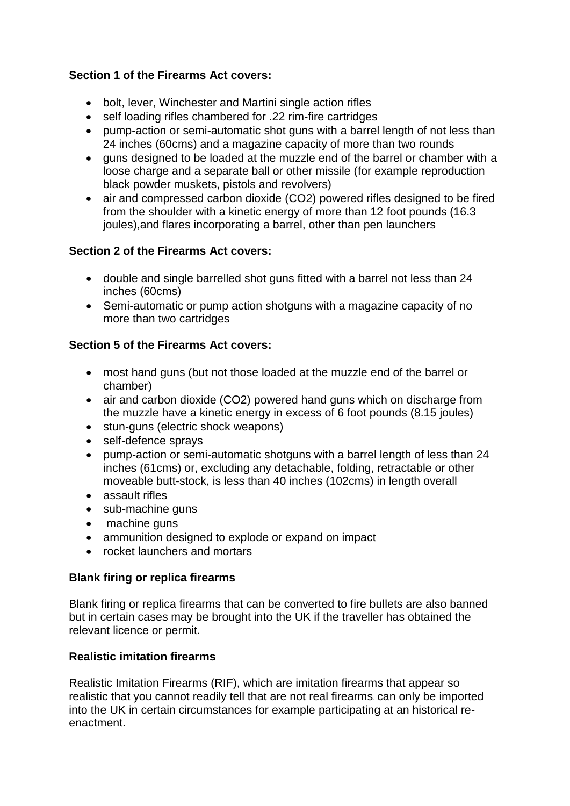## **Section 1 of the Firearms Act covers:**

- bolt, lever, Winchester and Martini single action rifles
- self loading rifles chambered for .22 rim-fire cartridges
- pump-action or semi-automatic shot guns with a barrel length of not less than 24 inches (60cms) and a magazine capacity of more than two rounds
- guns designed to be loaded at the muzzle end of the barrel or chamber with a loose charge and a separate ball or other missile (for example reproduction black powder muskets, pistols and revolvers)
- air and compressed carbon dioxide (CO2) powered rifles designed to be fired from the shoulder with a kinetic energy of more than 12 foot pounds (16.3 joules),and flares incorporating a barrel, other than pen launchers

## **Section 2 of the Firearms Act covers:**

- double and single barrelled shot guns fitted with a barrel not less than 24 inches (60cms)
- Semi-automatic or pump action shotguns with a magazine capacity of no more than two cartridges

## **Section 5 of the Firearms Act covers:**

- most hand guns (but not those loaded at the muzzle end of the barrel or chamber)
- air and carbon dioxide (CO2) powered hand guns which on discharge from the muzzle have a kinetic energy in excess of 6 foot pounds (8.15 joules)
- stun-guns (electric shock weapons)
- self-defence sprays
- pump-action or semi-automatic shotguns with a barrel length of less than 24 inches (61cms) or, excluding any detachable, folding, retractable or other moveable butt-stock, is less than 40 inches (102cms) in length overall
- assault rifles
- sub-machine guns
- machine guns
- ammunition designed to explode or expand on impact
- rocket launchers and mortars

### **Blank firing or replica firearms**

Blank firing or replica firearms that can be converted to fire bullets are also banned but in certain cases may be brought into the UK if the traveller has obtained the relevant licence or permit.

### **Realistic imitation firearms**

Realistic Imitation Firearms (RIF), which are imitation firearms that appear so realistic that you cannot readily tell that are not real firearms, can only be imported into the UK in certain circumstances for example participating at an historical reenactment.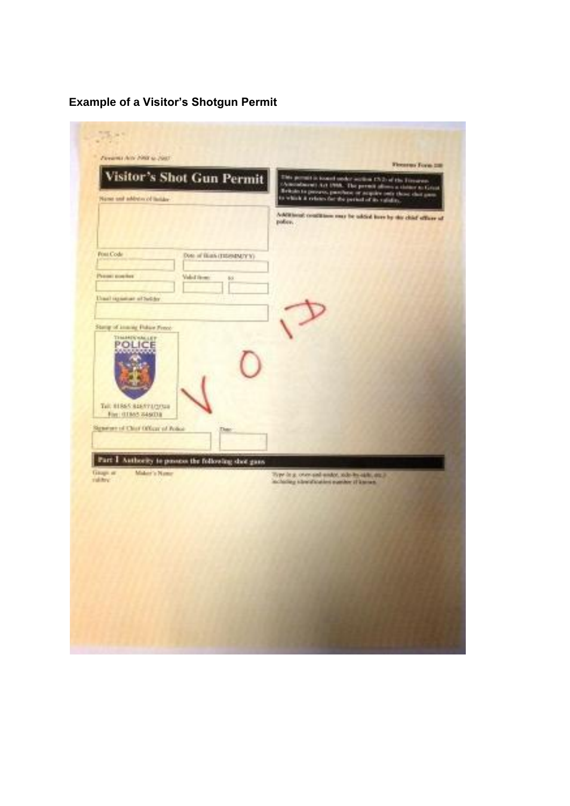# **Example of a Visitor's Shotgun Permit**

| Persona delle PASE se pasti                         | Fireston Form 220                                                                                                               |
|-----------------------------------------------------|---------------------------------------------------------------------------------------------------------------------------------|
| <b>Visitor's Shot Gun Permit</b>                    | like permit is looked under written 17/2) of the European<br>(American control Act 1998). The present allows a claimer to Great |
| Name and address of listiday                        | Britain to percent, pambers or acquire only those shot gam-<br>to which it relates far the period of its validay.               |
|                                                     | Additional conditions muy be added investor this chief officer of<br>police.                                                    |
|                                                     |                                                                                                                                 |
| Font Code<br>Date of Black (TRIMMITYY).             |                                                                                                                                 |
| Present stowhere<br>Valid Virmo<br>65               |                                                                                                                                 |
| Unasil regionizer of Switcher                       |                                                                                                                                 |
|                                                     |                                                                                                                                 |
| Stamp of imams Fisher Press.                        |                                                                                                                                 |
| <b>TEMANEN'NALLEY</b><br>POLICE                     |                                                                                                                                 |
|                                                     |                                                                                                                                 |
|                                                     |                                                                                                                                 |
| Tel: 81865 84657473748                              |                                                                                                                                 |
| Fire: (11865-845038)                                |                                                                                                                                 |
| Separate of Chief Officer of Police<br>Date         |                                                                                                                                 |
| Part I Authority to passess the following door gans |                                                                                                                                 |
| <b>Glospic att</b><br>Midair's Name<br>rather.      | Type in a crow and under, side-by-aids, angli-<br>including stretchiation mander if known.                                      |
|                                                     |                                                                                                                                 |
|                                                     |                                                                                                                                 |
|                                                     |                                                                                                                                 |
|                                                     |                                                                                                                                 |
|                                                     |                                                                                                                                 |
|                                                     |                                                                                                                                 |
|                                                     |                                                                                                                                 |
|                                                     |                                                                                                                                 |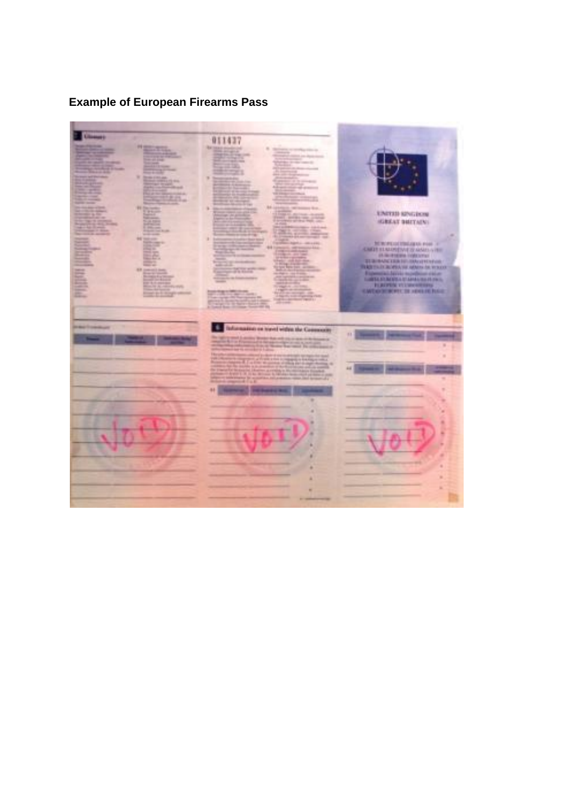# **Example of European Firearms Pass**

liness ( 011437 **ENTER SPICEOR ELMONETVIETO ANNO 177 AVENUEL APPEARED FOR PEN VILLANCIA** are the again on basic 6. Information in hired within the Case ining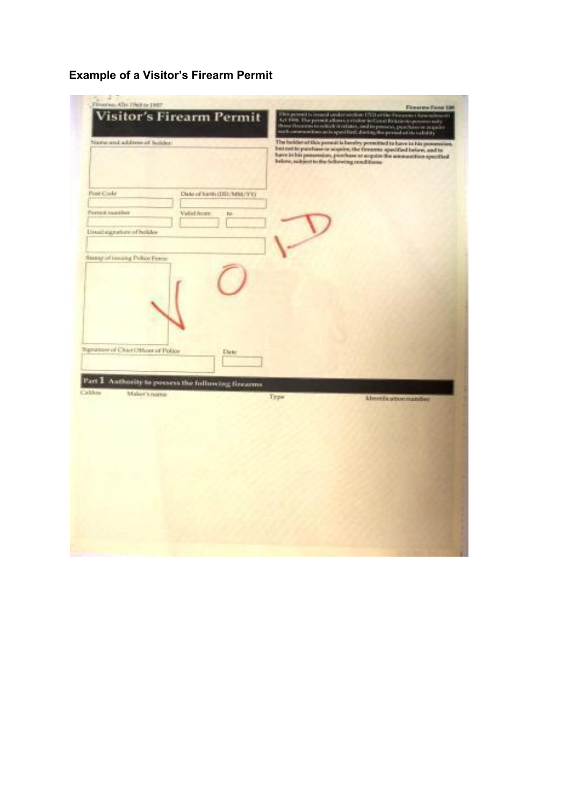# **Example of a Visitor's Firearm Permit**

| Trooms, the rivers are pro-<br><b>Visitor's Firearm Permit</b>                      | <b>Eloyarma Fame 188</b><br>This permuta issued or derivation 1712 of the Freezees Concentration of<br>Act 1988. The permuta disease resident in Green Botanical Actor<br>three through to which it relates and in process positions a spain<br>multi-momentum in s     |
|-------------------------------------------------------------------------------------|-------------------------------------------------------------------------------------------------------------------------------------------------------------------------------------------------------------------------------------------------------------------------|
| Name and address of holder                                                          | The bolder of this present is beenly presched to have in his possession,<br>but not to purchase in soquire, the firearms specified below, and to<br>have in his presention, purchase at acquire the ammanities specified<br>below, subject to the fellowing conditions: |
| Post-Code<br>Date of high (DD/MM/YY)<br>Perri E turnitor<br>Valid recent<br>to.     |                                                                                                                                                                                                                                                                         |
| Linux) signature of holder<br>Stang of issuing Police Ferrie                        |                                                                                                                                                                                                                                                                         |
|                                                                                     |                                                                                                                                                                                                                                                                         |
| Signature of Chief Officer of Police<br><b>Date</b>                                 |                                                                                                                                                                                                                                                                         |
| Part 1<br>Authority to possess the following firearms<br>Calibre<br>Maker's ratrive | Тури<br><b>klessification number</b>                                                                                                                                                                                                                                    |
|                                                                                     |                                                                                                                                                                                                                                                                         |
|                                                                                     |                                                                                                                                                                                                                                                                         |
|                                                                                     |                                                                                                                                                                                                                                                                         |
|                                                                                     |                                                                                                                                                                                                                                                                         |
|                                                                                     |                                                                                                                                                                                                                                                                         |